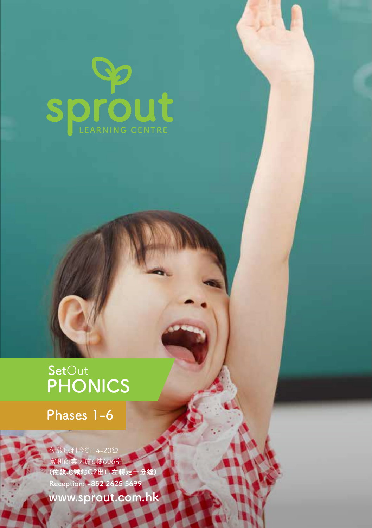

### **PHONICS Set**Out

**Phases 1-6**

佐敦庇利金街14-20號 案大廈6樓606 **(佐敦地鐵站C2出口左轉走一分鐘) Reception: +852 2625 5699 www.sprout.com.hk**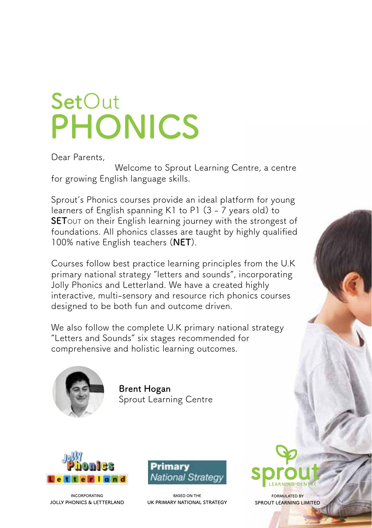# **PHONICS Set**Out

Dear Parents,

Welcome to Sprout Learning Centre, a centre for growing English language skills.

Sprout's Phonics courses provide an ideal platform for young learners of English spanning K1 to P1 (3 - 7 years old) to **SET**OUT on their English learning journey with the strongest of foundations. All phonics classes are taught by highly qualified 100% native English teachers (**NET**).

Courses follow best practice learning principles from the U.K primary national strategy "letters and sounds", incorporating Jolly Phonics and Letterland. We have a created highly interactive, multi-sensory and resource rich phonics courses designed to be both fun and outcome driven.

We also follow the complete U.K primary national strategy "Letters and Sounds" six stages recommended for comprehensive and holistic learning outcomes.



**Brent Hogan** Sprout Learning Centre



**INCORPORATING JOLLY PHONICS & LETTERLAND**



**BASED ON THE UK PRIMARY NATIONAL STRATEGY**



**FORMULATED BY SPROUT LEARNING LIMITED**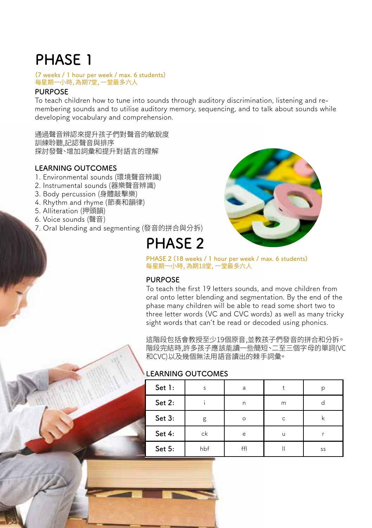#### **(7 weeks / 1 hour per week / max. 6 students)** 每星期一小時, 為期7堂, 一堂最多六人

#### **PURPOSE**

To teach children how to tune into sounds through auditory discrimination, listening and remembering sounds and to utilise auditory memory, sequencing, and to talk about sounds while developing vocabulary and comprehension.

通過聲音辨認來提升孩子們對聲音的敏銳度 訓練聆聽,記認聲音與排序 探討發聲、增加詞彙和提升對語言的理解

#### **LEARNING OUTCOMES**

- 1. Environmental sounds (環境聲音辨識)
- 2. Instrumental sounds (器樂聲音辨識)
- 3. Body percussion (身體敲擊樂)
- 4. Rhythm and rhyme (節奏和韻律)
- 5. Alliteration (押頭韻)
- 6. Voice sounds (聲音)
- 7. Oral blending and segmenting (發音的拼合與分拆)

### **PHASE 2**



**PHASE 2 (18 weeks / 1 hour per week / max. 6 students)** 每星期一小時, 為期18堂, 一堂最多六人

#### **PURPOSE**

To teach the first 19 letters sounds, and move children from oral onto letter blending and segmentation. By the end of the phase many children will be able to read some short two to three letter words (VC and CVC words) as well as many tricky sight words that can't be read or decoded using phonics.

這階段包括會教授至少19個原音,並教孩子們發音的拼合和分拆。 階段完結時,許多孩子應該能讀一些簡短、二至三個字母的單詞(VC 和CVC)以及幾個無法用語音讀出的棘手詞彙。

#### **LEARNING OUTCOMES**

| Set 1: | Ś   | a        |   |    |
|--------|-----|----------|---|----|
| Set 2: |     | n        | m |    |
| Set 3: | g   | $\Omega$ | C |    |
| Set 4: | ck  | e        | u |    |
| Set 5: | hbf | ff       |   | SS |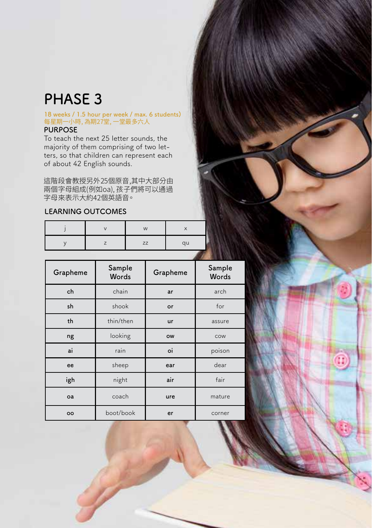#### **18 weeks / 1.5 hour per week / max. 6 students)** 每星期一小時, 為期 $I$  [室, 一室最多六人 **PURPOSE**

To teach the next 25 letter sounds, the majority of them comprising of two letters, so that children can represent each of about 42 English sounds.

這階段會教授另外25個原音,其中大部分由 兩個字母組成(例如oa), 孩子們將可以通過 子母米表示大約42個央語首。

#### **LEARNING OUTCOMES**

|  | W         |    |
|--|-----------|----|
|  | <b>ZZ</b> | qu |

| Grapheme | Sample<br>Words | Grapheme  | Sample<br>Words |  |
|----------|-----------------|-----------|-----------------|--|
| ch       | chain           | ar        | arch            |  |
| sh       | shook           | or        | for             |  |
| th       | thin/then       | ur        | assure          |  |
| ng       | looking         | <b>OW</b> | COW             |  |
| ai       | rain            | oi        | poison          |  |
| ee       | sheep           | ear       | dear            |  |
| igh      | night           | air       | fair            |  |
| oa       | coach           | ure       | mature          |  |
| oo       | boot/book       | er        | corner          |  |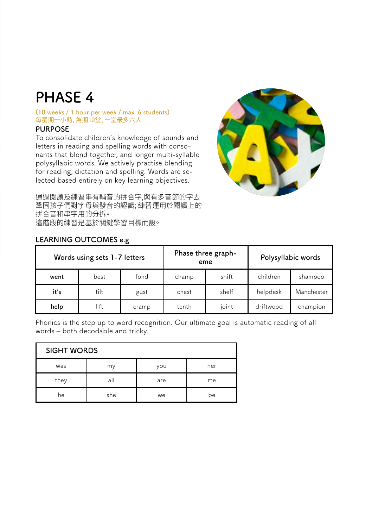#### **(10 weeks / 1 hour per week / max. 6 students)** 每星期一小時, 為期10堂, 一堂最多六人

#### **PURPOSE**

To consolidate children's knowledge of sounds and letters in reading and spelling words with consonants that blend together, and longer multi-syllable polysyllabic words. We actively practise blending for reading, dictation and spelling. Words are selected based entirely on key learning objectives.



通過閱讀及練習串有輔音的拼合字,與有多音節的字去 鞏固孩子們對字母與發音的認識; 練習運用於閱讀上的 拼合音和串字用的分拆。 這階段的練習是基於關鍵學習目標而設。

| Words using sets 1-7 letters |      |       |       | Phase three graph-<br>eme | Polysyllabic words |            |  |
|------------------------------|------|-------|-------|---------------------------|--------------------|------------|--|
| went                         | best | fond  | champ | shift                     | children           | shampoo    |  |
| it's                         | tilt | gust  | chest | shelf                     | helpdesk           | Manchester |  |
| help                         | lift | cramp | tenth | joint                     | driftwood          | champion   |  |

#### **LEARNING OUTCOMES e.g**

Phonics is the step up to word recognition. Our ultimate goal is automatic reading of all words – both decodable and tricky.

| <b>SIGHT WORDS</b> |     |     |     |
|--------------------|-----|-----|-----|
| was                | my  | you | her |
| they               | all | are | me  |
| he                 | she | we  | be  |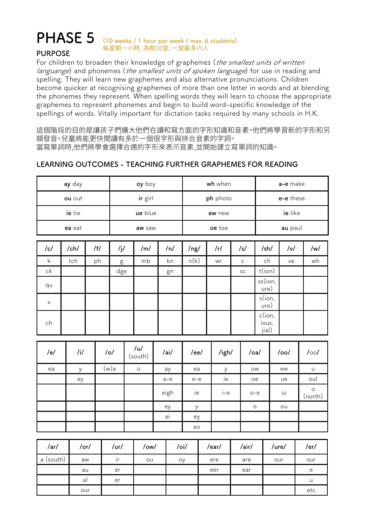### **(10 weeks / 1 hour per week / max. 6 students) PHASE 5** 每星期一小時, 為期10堂, 一堂最多六人

#### **PURPOSE**

For children to broaden their knowledge of graphemes (the smallest units of written languange) and phonemes (the smallest units of spoken language) for use in reading and spelling. They will learn new graphemes and also alternative pronunciations. Children become quicker at recognising graphemes of more than one letter in words and at blending the phonemes they represent. When spelling words they will learn to choose the appropriate graphemes to represent phonemes and begin to build word-specific knowledge of the spellings of words. Vitally important for dictation tasks required by many schools in H.K.

這個階段的目的是讓孩子們擴大他們在讀和寫方面的字形知識和音素。他們將學習新的字形和另 類發音。兒童將能更快閱讀有多於一個很字形與拼合音素的字詞。 當寫單詞時,他們將學會選擇合適的字形來表示音素,並開始建立寫單詞的知識。

#### **LEARNING OUTCOMES - TEACHING FURTHER GRAPHEMES FOR READING**

| ay day    |            |           | oy boy        |                |  | wh when                                    |          |      |       | a-e make     |           |                          |            |                    |
|-----------|------------|-----------|---------------|----------------|--|--------------------------------------------|----------|------|-------|--------------|-----------|--------------------------|------------|--------------------|
| ou out    |            |           |               | ir girl        |  |                                            | ph photo |      |       |              | e-e these |                          |            |                    |
| ie tie    |            |           |               | ue blue        |  |                                            | ew new   |      |       |              | ie like   |                          |            |                    |
| ea eat    |            |           | aw saw        |                |  | oe toe                                     |          |      |       | au paul      |           |                          |            |                    |
| /c/       | /ch/       | $/$ f $/$ | /j/           | /m/            |  | /n/                                        | /ng/     |      | /r/   | /s/          |           | /sh/                     | v          | /w/                |
| k         | tch        | ph        | g             | mb             |  | kn                                         | n(k)     |      | wr    | $\mathsf{C}$ |           | ch                       | ve         | wh                 |
| ck        |            |           | $_{\rm{dge}}$ |                |  | gn                                         |          |      |       | SC           |           | t(ion)                   |            |                    |
| qu        |            |           |               |                |  |                                            |          |      |       |              |           | ss(ion,<br>ure)          |            |                    |
| X         |            |           |               |                |  |                                            |          |      |       |              |           | s(ion,<br>ure)           |            |                    |
| ch        |            |           |               |                |  |                                            |          |      |       |              |           | c(ion,<br>ious,<br>jial) |            |                    |
|           |            |           |               |                |  |                                            |          |      |       |              |           |                          |            |                    |
| /e/       | /i/        |           | $/$ o/        | /u/<br>(south) |  | /ai/                                       |          | /ee/ | /igh/ |              | /oa/      |                          | $/$ oo $/$ | $/$ oo $/$         |
| ea        |            |           |               |                |  |                                            |          |      |       |              |           |                          |            |                    |
|           | у          |           | (w)a          | $\circ$        |  | ay                                         | ea       |      | у     |              | <b>OW</b> |                          | ew         | <b>u</b>           |
|           | ey         |           |               |                |  | $a-e$                                      | $e-e$    |      | ie    |              | оe        |                          | ue         | oul                |
|           |            |           |               |                |  | eigh                                       | ie       |      | $i-e$ |              | $o-e$     |                          | ui         | $\circ$<br>(north) |
|           |            |           |               |                |  | ey                                         | у        |      |       |              | $\circ$   |                          | ou         |                    |
|           |            |           |               |                |  | ei                                         | ey       |      |       |              |           |                          |            |                    |
|           |            |           |               |                |  |                                            | eo       |      |       |              |           |                          |            |                    |
|           |            |           |               |                |  |                                            |          |      |       |              |           |                          |            |                    |
| /ar/      | $/$ or $/$ |           | /ur/          | /ow/           |  | $\overline{\prime}$ oi $\overline{\prime}$ |          |      | /ear/ | /air/        |           | /ure/                    |            | /er/               |
| a (south) | aw         |           | ir            | ou             |  |                                            | ѹ        |      | ere   | are          |           | our                      |            | our                |
|           | au         |           | er            |                |  |                                            |          |      | eer   | ear          |           |                          |            | e                  |
|           | al<br>our  |           | er            |                |  |                                            |          |      |       |              |           |                          |            | u<br>etc           |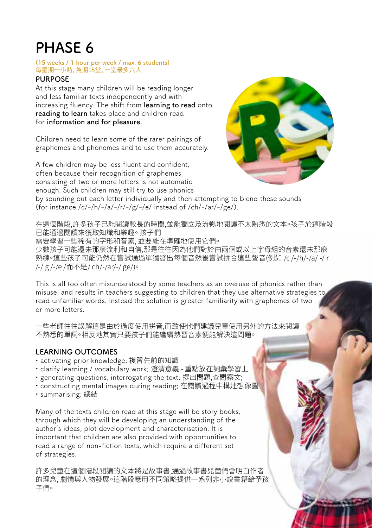#### **(15 weeks / 1 hour per week / max. 6 students)** 每星期一小時, 為期15堂, 一堂最多六人

#### **PURPOSE**

At this stage many children will be reading longer and less familiar texts independently and with increasing fluency. The shift from **learning to read** onto **reading to learn** takes place and children read for **information and for pleasure.**

Children need to learn some of the rarer pairings of graphemes and phonemes and to use them accurately.

A few children may be less fluent and confident, often because their recognition of graphemes consisting of two or more letters is not automatic enough. Such children may still try to use phonics



by sounding out each letter individually and then attempting to blend these sounds (for instance /c/-/h/-/a/-/r/-/g/-/e/ instead of /ch/-/ar/-/ge/).

在這個階段,許多孩子已能閱讀較長的時間,並能獨立及流暢地閱讀不太熟悉的文本。孩子於這階段 已能通過閱讀來獲取知識和樂趣。 孩子們 需要學習一些稀有的字形和音素, 並要能在準確地使用它們。 少數孩子可能還未那麼流利和自信,那是往往因為他們對於由兩個或以上字母組的音素還未那麼 熟練。這些孩子可能仍然在嘗試通過單獨發出每個音然後嘗試拼合這些聲音(例如 /c /-/h/-/a/ -/ r /-/ g /-/e /而不是/ ch/-/ar/-/ ge/)。

This is all too often misunderstood by some teachers as an overuse of phonics rather than misuse, and results in teachers suggesting to children that they use alternative strategies to read unfamiliar words. Instead the solution is greater familiarity with graphemes of two or more letters.

一些老師往往誤解這是由於過度使用拼音,而致使他們建議兒童使用另外的方法來閱讀 不熟悉的單詞。相反地其實只要孩子們能繼續熟習音素便能解決這問題。

#### **LEARNING OUTCOMES**

- activating prior knowledge; 複習先前的知識
- clarify learning / vocabulary work; 澄清意義 重點放在詞彙學習上
- generating questions, interrogating the text; 提出問題,查問案文;
- constructing mental images during reading; 在閱讀過程中構建想像圖
- summarising; 總結

Many of the texts children read at this stage will be story books, through which they will be developing an understanding of the author's ideas, plot development and characterisation. It is important that children are also provided with opportunities to read a range of non-fiction texts, which require a different set of strategies.

許多兒童在這個階段閱讀的文本將是故事書,通過故事書兒童們會明白作者 的理念, 劇情與人物發展。這階段應用不同策略提供一系列非小說書籍給予孩 子們。